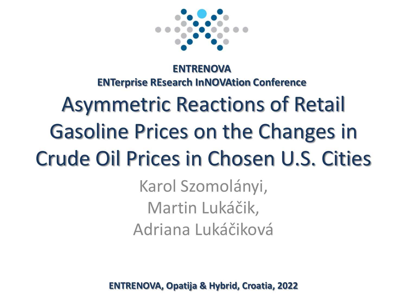

#### **ENTRENOVA ENTerprise REsearch InNOVAtion Conference**

# Asymmetric Reactions of Retail Gasoline Prices on the Changes in Crude Oil Prices in Chosen U.S. Cities

Karol Szomolányi, Martin Lukáčik, Adriana Lukáčiková

**ENTRENOVA, Opatija & Hybrid, Croatia, 2022**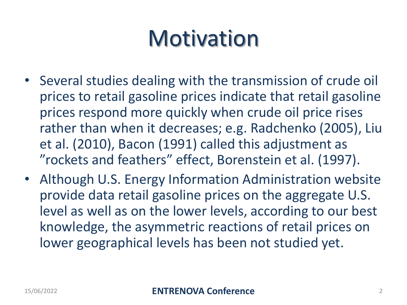### **Motivation**

- Several studies dealing with the transmission of crude oil prices to retail gasoline prices indicate that retail gasoline prices respond more quickly when crude oil price rises rather than when it decreases; e.g. Radchenko (2005), Liu et al. (2010), Bacon (1991) called this adjustment as "rockets and feathers" effect, Borenstein et al. (1997).
- Although U.S. Energy Information Administration website provide data retail gasoline prices on the aggregate U.S. level as well as on the lower levels, according to our best knowledge, the asymmetric reactions of retail prices on lower geographical levels has been not studied yet.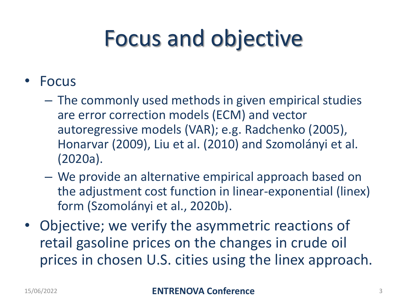# Focus and objective

- Focus
	- The commonly used methods in given empirical studies are error correction models (ECM) and vector autoregressive models (VAR); e.g. Radchenko (2005), Honarvar (2009), Liu et al. (2010) and Szomolányi et al. (2020a).
	- We provide an alternative empirical approach based on the adjustment cost function in linear-exponential (linex) form (Szomolányi et al., 2020b).
- Objective; we verify the asymmetric reactions of retail gasoline prices on the changes in crude oil prices in chosen U.S. cities using the linex approach.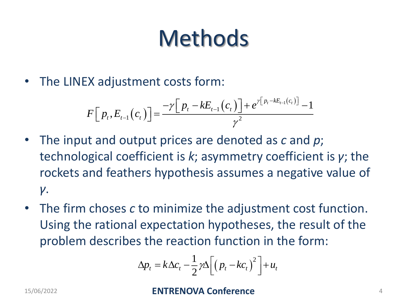# **Methods**

• The LINEX adjustment costs form:

X adjustment costs form:  
\n
$$
F[p_t, E_{t-1}(c_t)] = \frac{-\gamma [p_t - kE_{t-1}(c_t)] + e^{\gamma [p_t - kE_{t-1}(c_t)]} - 1}{\gamma^2}
$$

- The input and output prices are denoted as *c* and *p*; technological coefficient is *k*; asymmetry coefficient is *γ*; the rockets and feathers hypothesis assumes a negative value of *γ*.
- The firm choses *c* to minimize the adjustment cost function. Using the rational expectation hypotheses, the result of the problem describes the reaction function in the form:

$$
\Delta p_t = k \Delta c_t - \frac{1}{2} \gamma \Delta \left[ \left( p_t - k c_t \right)^2 \right] + u_t
$$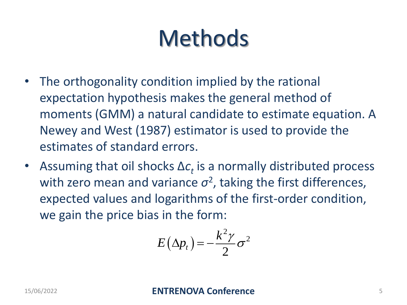## **Methods**

- The orthogonality condition implied by the rational expectation hypothesis makes the general method of moments (GMM) a natural candidate to estimate equation. A Newey and West (1987) estimator is used to provide the estimates of standard errors.
- Assuming that oil shocks  $\Delta c_t$  is a normally distributed process with zero mean and variance  $\sigma^2$ , taking the first differences, expected values and logarithms of the first-order condition, we gain the price bias in the form:

$$
E(\Delta p_t) = -\frac{k^2 \gamma}{2} \sigma^2
$$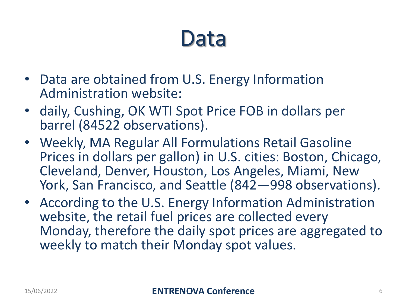#### Data

- Data are obtained from U.S. Energy Information Administration website:
- daily, Cushing, OK WTI Spot Price FOB in dollars per barrel (84522 observations).
- Weekly, MA Regular All Formulations Retail Gasoline Prices in dollars per gallon) in U.S. cities: Boston, Chicago, Cleveland, Denver, Houston, Los Angeles, Miami, New York, San Francisco, and Seattle (842—998 observations).
- According to the U.S. Energy Information Administration website, the retail fuel prices are collected every Monday, therefore the daily spot prices are aggregated to weekly to match their Monday spot values.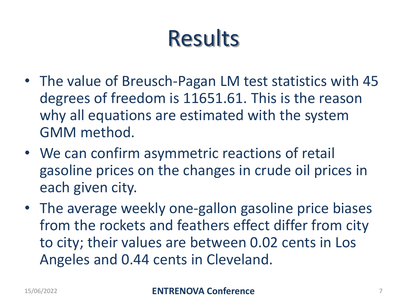## Results

- The value of Breusch-Pagan LM test statistics with 45 degrees of freedom is 11651.61. This is the reason why all equations are estimated with the system GMM method.
- We can confirm asymmetric reactions of retail gasoline prices on the changes in crude oil prices in each given city.
- The average weekly one-gallon gasoline price biases from the rockets and feathers effect differ from city to city; their values are between 0.02 cents in Los Angeles and 0.44 cents in Cleveland.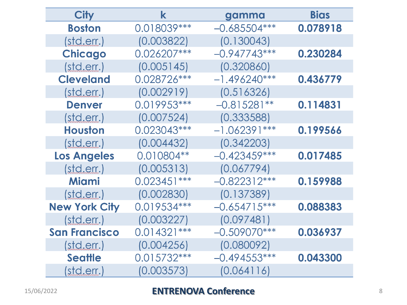| <b>City</b>          | k             | gamma          | <b>Bias</b> |
|----------------------|---------------|----------------|-------------|
| <b>Boston</b>        | 0.018039 ***  | $-0.685504***$ | 0.078918    |
| (stat.               | (0.003822)    | (0.130043)     |             |
| <b>Chicago</b>       | 0.026207***   | $-0.947743***$ | 0.230284    |
| (stat.               | (0.005145)    | (0.320860)     |             |
| <b>Cleveland</b>     | 0.028726 ***  | $-1.496240***$ | 0.436779    |
| (stat.               | (0.002919)    | (0.516326)     |             |
| <b>Denver</b>        | 0.019953 ***  | $-0.815281**$  | 0.114831    |
| (stat.               | (0.007524)    | (0.333588)     |             |
| <b>Houston</b>       | 0.023043***   | $-1.062391***$ | 0.199566    |
| (stat.               | (0.004432)    | (0.342203)     |             |
| <b>Los Angeles</b>   | 0.010804**    | $-0.423459***$ | 0.017485    |
| (stat.               | (0.005313)    | (0.067794)     |             |
| <b>Miami</b>         | $0.023451***$ | $-0.822312***$ | 0.159988    |
| (stat.               | (0.002830)    | (0.137389)     |             |
| <b>New York City</b> | 0.019534 ***  | $-0.654715***$ | 0.088383    |
| (stat.               | (0.003227)    | (0.097481)     |             |
| <b>San Francisco</b> | $0.014321***$ | $-0.509070***$ | 0.036937    |
| (stat.               | (0.004256)    | (0.080092)     |             |
| <b>Seattle</b>       | $0.015732***$ | $-0.494553***$ | 0.043300    |
| (std.err.)           | (0.003573)    | (0.064116)     |             |

#### 15/06/2022 **ENTRENOVA Conference** <sup>8</sup>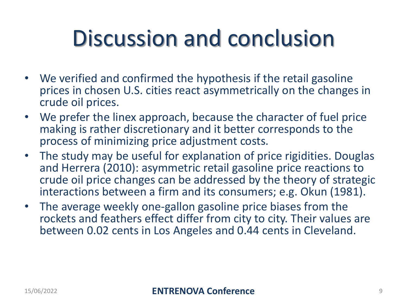### Discussion and conclusion

- We verified and confirmed the hypothesis if the retail gasoline prices in chosen U.S. cities react asymmetrically on the changes in crude oil prices.
- We prefer the linex approach, because the character of fuel price making is rather discretionary and it better corresponds to the process of minimizing price adjustment costs.
- The study may be useful for explanation of price rigidities. Douglas and Herrera (2010): asymmetric retail gasoline price reactions to crude oil price changes can be addressed by the theory of strategic interactions between a firm and its consumers; e.g. Okun (1981).
- The average weekly one-gallon gasoline price biases from the rockets and feathers effect differ from city to city. Their values are between 0.02 cents in Los Angeles and 0.44 cents in Cleveland.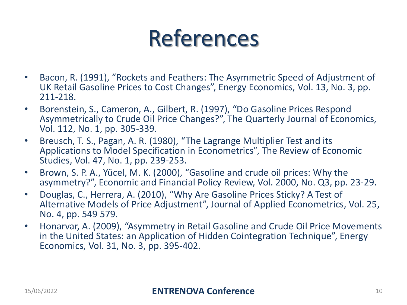#### References

- Bacon, R. (1991), "Rockets and Feathers: The Asymmetric Speed of Adjustment of UK Retail Gasoline Prices to Cost Changes", Energy Economics, Vol. 13, No. 3, pp. 211-218.
- Borenstein, S., Cameron, A., Gilbert, R. (1997), "Do Gasoline Prices Respond Asymmetrically to Crude Oil Price Changes?", The Quarterly Journal of Economics, Vol. 112, No. 1, pp. 305-339.
- Breusch, T. S., Pagan, A. R. (1980), "The Lagrange Multiplier Test and its Applications to Model Specification in Econometrics", The Review of Economic Studies, Vol. 47, No. 1, pp. 239-253.
- Brown, S. P. A., Yücel, M. K. (2000), "Gasoline and crude oil prices: Why the asymmetry?", Economic and Financial Policy Review, Vol. 2000, No. Q3, pp. 23-29.
- Douglas, C., Herrera, A. (2010), "Why Are Gasoline Prices Sticky? A Test of Alternative Models of Price Adjustment", Journal of Applied Econometrics, Vol. 25, No. 4, pp. 549 579.
- Honarvar, A. (2009), "Asymmetry in Retail Gasoline and Crude Oil Price Movements in the United States: an Application of Hidden Cointegration Technique", Energy Economics, Vol. 31, No. 3, pp. 395-402.